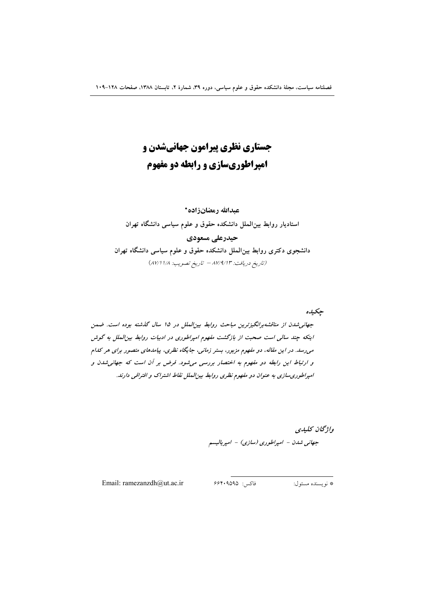# **جستاری نظری پیرامون جهانیشدن و امپراطوریسازی و رابطه دو مفهوم**

## عبدالله رمضانزاده\*

ستادیار روابط بینالملل دانشکده حقوق و علوم سیاسی دانشگاه تهران l حیدرعلی مسعودی دانشجوی دکتری روابط بین**الملل دانشکده حقوق و علوم سیاسی دانشگاه تهران** (تاريخ دريافت: ٨٧/٩/١٣ – تاريخ تصويب: ٨٧/١١/٨)

حكى*دە* جهانی شدن از مناقشه $\mu$ انگیزترین مباحث روابط بین الملل در 10 سال گذشته بوده است. ضمن اینکه چند سالی است صحبت از بازگشت مفهوم امپراطوری در ادبیات روابط بینالملل به گوش میرسد. در این مقاله، دو مفهوم مزبور، بستر زمانی، جایگاه نظری، پیامدهای متصور برای هر کدام و ارتباط این رابطه دو مفهوم به اختصار بررسی میشود. فرض بر آن است که جهانی شدن و امپراطوریسازی به عنوان دو مفهوم نظری روابط بینالملل نقاط اشتراک و افتراقی دارند.

واژگان كليدي

جهانی شدن – امپراطوری (سازی) – امپریالیسم

Email: ramezanzdh@ut.ac.ir 66409595 : : \*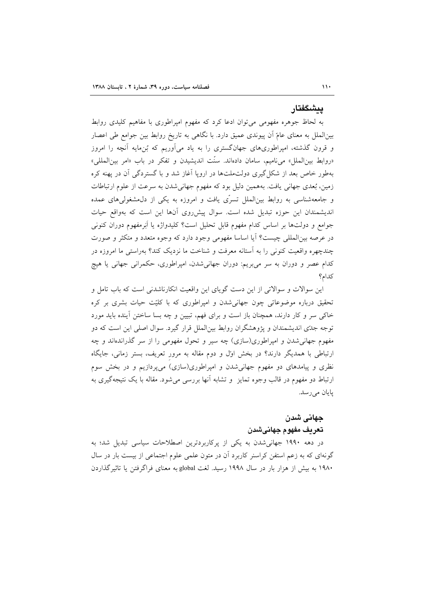#### بىشگفتار

به لحاظ جوهره مفهومی می توان ادعا کرد که مفهوم امپراطوری با مفاهیم کلیدی روابط بین|لملل به معنای عامّ آن پیوندی عمیق دارد. با نگاهی به تاریخ روابط بین جوامع طی اعصار و قرون گذشته، امپراطوریهای جهانگستری را به یاد میآوریم که بُنِمایه آنچه را امروز «روابط بين|لملل» مي ناميم، سامان دادهاند. سنّت انديشيدن و تفكر در باب «امر بين|لمللي» بهطور خاص بعد از شکل گیری دولتملتها در اروپا آغاز شد و با گستردگی آن در پهنه کره زمین، بُعدی جهانی یافت. بههمین دلیل بود که مفهوم جهانی شدن به سرعت از علوم ارتباطات و جامعهشناسی به روابط بینِالملل تسرِّی یافت و امروزه به یکی از دل،مشغولی های عمده اندیشمندان این حوزه تبدیل شده است. سوال پیش روی آنها این است که بهواقع حیات جوامع و دولتها بر اساس كدام مفهوم قابل تحليل است؟ كليدواژه يا اَبَرمفهوم دوران كنوني در عرصه بینالمللی چیست؟ آیا اساسا مفهومی وجود دارد که وجوه متعدد و متکثر و صورت چندچهره واقعیت کنونی را به آستانه معرفت و شناخت ما نزدیک کند؟ بهراستی ما امروزه در کدام عصر و دوران به سر می بریم: دوران جهانی شدن، امیراطوری، حکمرانی جهانی یا هیچ كدام؟

این سوالات و سوالاتی از این دست گویای این واقعیت انکارناشدنی است که باب تامل و تحقیق درباره موضوعاتی چون جهانی شدن و امپراطوری که با کلیّت حیات بشری بر کره خاکی سر و کار دارند، همچنان باز است و برای فهم، تبیین و چه بسا ساختن آینده باید مورد توجه جدّی اندیشمندان و پژوهشگران روابط بین|لملل قرار گیرد. سوال اصلی این است که دو مفهوم جهانی شدن و امپراطوری(سازی) چه سیر و تحول مفهومی را از سر گذراندهاند و چه ارتباطی با همدیگر دارند؟ در بخش اول و دوم مقاله به مرور تعریف، بستر زمانی، جایگاه نظری و پیامدهای دو مفهوم جهانیشدن و امپراطوری(سازی) میپردازیم و در بخش سوم ارتباط دو مفهوم در قالب وجوه تمایز ً و تشابه أنها بررسی می شود. مقاله با یک نتیجهگیری به يايان مي رسد.

# جهاني شدن تعريف مفهوم جهانيشدن

در دهه ۱۹۹۰ جهانی شدن به یکی از پرکاربردترین اصطلاحات سیاسی تبدیل شد؛ به گونهای که به زعم استفن کراسنر کاربرد آن در متون علمی علوم اجتماعی از بیست بار در سال ۱۹۸۰ به بیش از هزار بار در سال ۱۹۹۸ رسید. لغت global به معنای فراگرفتن یا تاثیر گذاردن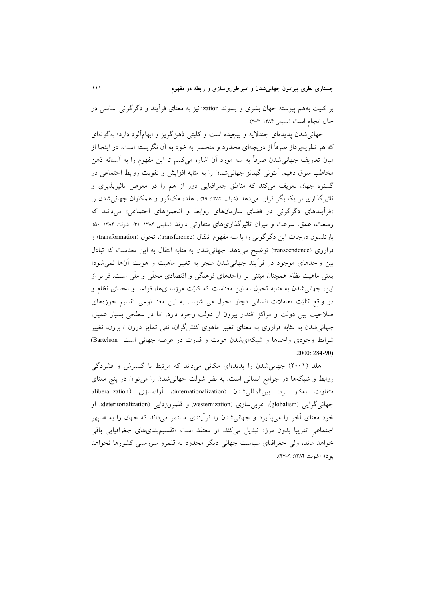بر کلیت بههم پیوسته جهان بشری و پسوند ization نیز به معنای فرأیند و دگرگونی اساسی در حال انجام است (سليمي ١٣٨٤: ٣-٢).

جهانی شدن پدیدهای چندلایه و پیچیده است و کلیتی ذهنگریز و ابهامآلود دارد؛ بهگونهای که هر نظریهپرداز صرفاً از دریچهای محدود و منحصر به خود به آن نگریسته است. در اینجا از میان تعاریف جهانیشدن صرفاً به سه مورد آن اشاره میکنیم تا این مفهوم را به آستانه ذهن مخاطب سوق دهیم. آنتونی گیدنز جهانیشدن را به مثابه افزایش و تقویت روابط اجتماعی در گستره جهان تعریف میکند که مناطق جغرافیایی دور از هم را در معرض تاثیرپذیری و تاثیر گذاری بر یکدیگر قرار ً می دهد (شولت ۱۳۸۴: ۴۹) . هلد، مکگرو و همکاران جهانی شدن را «فرأیندهای دگرگونی در فضای سازمانهای روابط و انجمنهای اجتماعی» میدانند که وسعت، عمق، سرعت و میزان تاثیر گذاریهای متفاوتی دارند (سلیمی ۱۳۸۴: ۳۱: شولت ۱۳۸۴: ۵۰). بارتلسون درجات این دگرگونی را با سه مفهوم انتقال (transference)، تحول (transformation) و فراروی (transcendence) توضیح میدهد. جهانیشدن به مثابه انتقال به این معناست که تبادل بین واحدهای موجود در فرآیند جهانی شدن منجر به تغییر ماهیت و هویت آنها نمی شود؛ یعنی ماهیت نظام همچنان مبتنی بر واحدهای فرهنگی و اقتصادی محلّی و ملّی است. فراتر از این، جهانی شدن به مثابه تحول به این معناست که کلیّت مرزبندیها، قواعد و اعضای نظام و در واقع کلیّت تعاملات انسانی دچار تحول می شوند. به این معنا نوعی تقسیم حوزههای صلاحیت بین دولت و مراکز اقتدار بیرون از دولت وجود دارد. اما در سطحی بسیار عمیق، جهانی شدن به مثابه فراروی به معنای تغییر ماهوی کنش گران، نفی تمایز درون / برون، تغییر شرایط وجودی واحدها و شبکهای شدن هویت و قدرت در عرصه جهانی است Bartelson)  $.2000:284-90)$ 

هلد (۲۰۰۱) جهانی شدن را پدیدهای مکانی میداند که مرتبط با گسترش و فشردگی روابط و شبکهها در جوامع انسانی است. به نظر شولت جهانی شدن را می توان در پنج معنای متفاوت بهكار برد: بين|لمللي¢شدن (internationalization)، أزادسازي (liberalization)، جهاني گرايي (globalism)، غربي سازي (westernization) و قلمروزدايي (deteritorialization). او خود معنای آخر را می پذیرد و جهانی شدن را فرآیندی مستمر میداند که جهان را به «سیهر اجتماعی تقریبا بدون مرز» تبدیل میکند. او معتقد است «تقسیمبندیهای جغرافیایی باقی خواهد ماند، ولي جغرافياي سياست جهاني ديگر محدود به قلمرو سرزميني كشورها نخواهد بو د)) (شولت ١٣٨٤: ٩-۴٧).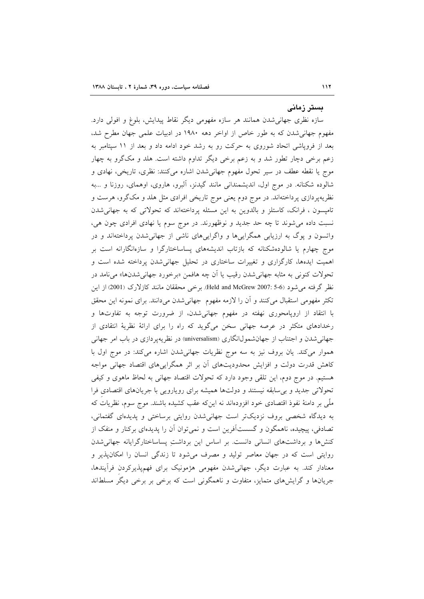#### بستر زمانی

سازه نظری جهانی شدن همانند هر سازه مفهومی دیگر نقاط پیدایش، بلوغ و افولی دارد. مفهوم جهانی شدن که به طور خاص از اواخر دهه ۱۹۸۰ در ادبیات علمی جهان مطرح شد، بعد از فرویاشی اتحاد شوروی به حرکت رو به رشد خود ادامه داد و بعد از ۱۱ سپتامبر به زعم برخی دچار تطور شد و به زعم برخی دیگر تداوم داشته است. هلد و مکگرو به چهار موج يا نقطه عطف در سير تحول مفهوم جهاني شدن اشاره مي كنند: نظري، تاريخي، نهادي و شالوده شکنانه. در موج اول، اندیشمندانی مانند گیدنز، آلبرو، هاروی، اوهمای، روزنا و ...به نظریهپردازی پرداختهاند. در موج دوم یعنی موج تاریخی افرادی مثل هلد و مکگرو، هرست و تامپسون ، فرانک، کاستلز و بالدوین به این مسئله پرداختهاند که تحولاتی که به جهانی شدن نسبت داده مي شوند تا چه حد جديد و نوظهورند. در موج سوم يا نهادي افرادي چون هي، واتسون و پوگ به ارزیابی همگراییها و واگراییهای ناشی از جهانیشدن پرداختهاند و در موج چهارم یا شالودهشکنانه که بازتاب اندیشههای پساساختارگرا و سازهانگارانه است بر اهمیت ایدهها، کارگزاری و تغییرات ساختاری در تحلیل جهانی شدن پرداخته شده است و تحولات کنونی به مثابه جهانی شدن رقیب یا آن چه هافمن «برخورد جهانی شدنها» می نامد در نظر گرفته می شود (5-5 :2007 Held and McGrew). برخی محققان مانند کازلارک (2001) از این تكثر مفهومي استقبال ميكنند و أن را لازمه مفهوم جهاني شدن مي دانند. براي نمونه اين محقق با انتقاد از اروپامحوری نهفته در مفهوم جهانیشدن، از ضرورت توجه به تفاوتها و رخدادهای متکثر در عرصه جهانی سخن میگوید که راه را برای ارائهٔ نظریهٔ انتقادی از جهانی شدن و اجتناب از جهان شمول انگاری (universalism) در نظریهپردازی در باب امر جهانی هموار می کند. یان بروف نیز به سه موج نظریات جهانی شدن اشاره می کند: در موج اول با کاهش قدرت دولت و افزایش محدودیتهای آن بر اثر همگراییهای اقتصاد جهانی مواجه هستیم. در موج دوم، این تلقی وجود دارد که تحولات اقتصاد جهانی به لحاظ ماهوی و کیفی تحولاتی جدید و بی سابقه نیستند و دولتها همیشه برای رویارویی با جریانهای اقتصادی فرا ملَّى بر دامنهٔ نفوذ اقتصادى خود افزودهاند نه اين٤ه عقب كشيده باشند. موج سوم، نظريات كه به دیدگاه شخصی بروف نزدیکتر است جهانی شدن روایتی برساختی و پدیدهای گفتمانی، تصادفی، پیچیده، ناهمگون و گسستآفرین است و نمیتوان آن را پدیدهای برکنار و منفک از کنش ها و برداشتهای انسانی دانست. بر اساس این برداشت پساساختارگرایانه جهانی شدن روایتی است که در جهان معاصر تولید و مصرف میشود تا زندگی انسان را امکان یذیر و معنادار کند. به عبارت دیگر، جهانی شدن مفهومی هژمونیک برای فهمپذیرکردن فرأیندها، جریانها و گرایشهای متمایز، متفاوت و ناهمگونی است که برخی بر برخی دیگر مسلطاند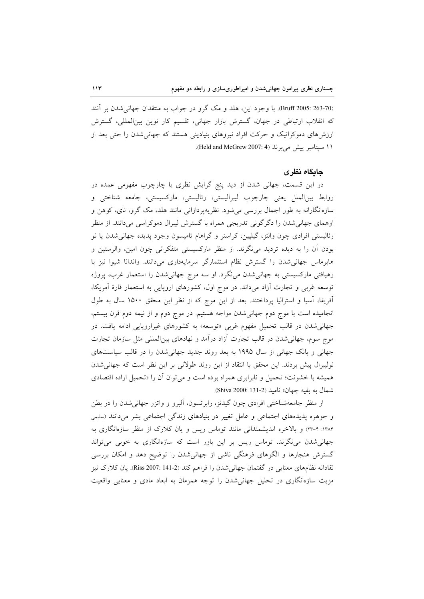(263-70 :Bruff) Druff). با وجود اين، هلد و مک گرو در جواب به منتقدان جهاني شدن بر آنند که انقلاب ارتباطی در جهان، گسترش بازار جهانی، تقسیم کار نوین بینالمللی، گسترش ارزشهای دموکراتیک و حرکت افراد نیروهای بنیادینی هستند که جهانی شدن را حتی بعد از ١١ سيتامبر ييش مي برند (Held and McGrew 2007: 4).

#### حاىگاه نظرى

در این قسمت، جهانی شدن از دید پنج گرایش نظری یا چارچوب مفهومی عمده در روابط بینالملل یعنی چارچوب لیبرالیستی، رئالیستی، مارکسیستی، جامعه شناختی و سازهانگارانه به طور اجمال بررسی میشود. نظریهپردازانی مانند هلد، مک گرو، نای، کوهن و اوهمای جهانی شدن را دگرگونی تدریجی همراه با گسترش لیبرال دموکراسی میدانند. از منظر رئالیستی افرادی چون والتز، گیلپین، کراسنر و گراهام تامپسون وجود پدیده جهانی شدن یا نو بودن اّن را به دیده تردید می نگرند. از منظر مارکسیستی متفکرانی چون امین، والرستین و هابرماس جهانی شدن را گسترش نظام استثمارگر سرمایهداری میدانند. واندانا شیوا نیز با رهیافتی مارکسیستی به جهانیشدن می نگرد. او سه موج جهانیشدن را استعمار غرب، پروژه توسعه غربی و تجارت أزاد میداند. در موج اول، کشورهای اروپایی به استعمار قارهٔ اَمریکا، آفريقا، آسيا و استراليا پرداختند. بعد از اين موج كه از نظر اين محقق ١٥٠٠ سال به طول انجامیده است با موج دوم جهانی شدن مواجه هستیم. در موج دوم و از نیمه دوم قرن بیستم، جهانی شدن در قالب تحمیل مفهوم غربی «توسعه» به کشورهای غیراروپایی ادامه یافت. در موج سوم، جهانی شدن در قالب تجارت آزاد درآمد و نهادهای بین|لمللی مثل سازمان تجارت جهانی و بانک جهانی از سال ۱۹۹۵ به بعد روند جدید جهانی شدن را در قالب سیاستهای نولیبرال پیش بردند. این محقق با انتقاد از این روند طولانی بر این نظر است که جهانی شدن همیشه با خشونت؛ تحمیل و نابرابری همراه بوده است و می توان آن را «تحمیل اراده اقتصادی شمال به بقيه جهان» ناميد (Shiva 2000: 131-2).

از منظر جامعهشناختی افرادی چون گیدنز، رابرتسون، آلبرو و واتزر جهانی شدن را در بطن و جوهره پدیدههای اجتماعی و عامل تغییر در بنیادهای زندگی اجتماعی بشر میدانند (سلیمی ۱۳۸۴: ۴-۲۳) و بالاخره اندیشمندانی مانند توماس ریس و یان کلارک از منظر سازهانگاری به جهانی شدن می نگرند. توماس ریس بر این باور است که سازهانگاری به خوبی می تواند گسترش هنجارها و الگوهای فرهنگی ناشی از جهانی شدن را توضیح دهد و امکان بررسی نقادانه نظامهای معنایی در گفتمان جهانی شدن را فراهم کند (Riss 2007: 141-2). یان کلارک نیز مزیت سازهانگاری در تحلیل جهانی شدن را توجه همزمان به ابعاد مادی و معنایی واقعیت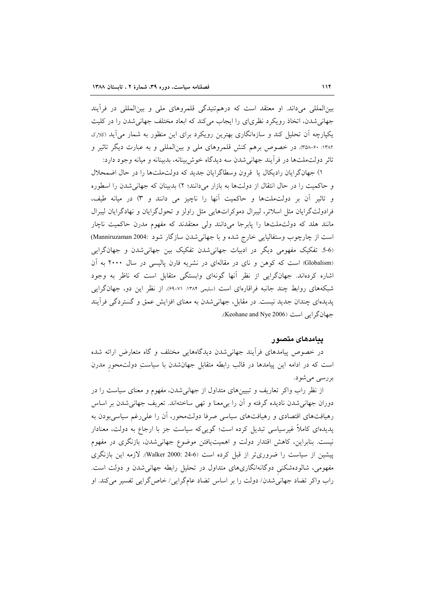بینالمللی میداند. او معتقد است که درهمتنیدگی قلمروهای ملی و بینالمللی در فرأیند جهانی شدن، اتخاذ رویکرد نظریای را ایجاب می کند که ابعاد مختلف جهانی شدن را در کلیت یکپارچه آن تحلیل کند و سازمانگاری بهترین رویکرد برای این منظور به شمار می آید (دلارد ۱۳۸۲: ۴۰-۳۵۸). در خصوص برهم کنش قلمروهای ملی و بینالمللی و به عبارت دیگر تاثیر و تاثر دولت ملتها در فرأيند جهاني شدن سه ديدگاه خوش بينانه، بدبينانه و ميانه وجود دارد:

١) جهانگرايان راديكال يا قرون وسطاگرايان جديد كه دولتملتها را در حال اضمحلال و حاکمیت را در حال انتقال از دولتها به بازار میدانند؛ ۲) بدبینان که جهانی شدن را اسطوره و تاثیر آن بر دولت ملتها و حاکمیت آنها را ناچیز می دانند و ۳) در میانه طیف، فرادولتگرایان مثل اسلاتر، لیبرال دموکراتهایی مثل راولز و تحولگرایان و نهادگرایان لیبرال مانند هلد که دولتملتها را پابرجا میدانند ولی معتقدند که مفهوم مدرن حاکمیت ناچار است از چارچوب وستفاليايي خارج شده و با جهاني شدن سازگار شود :004: Manniruzaman) (5-6. تفکیک مفهومی دیگر در ادبیات جهانی شدن تفکیک بین جهانی شدن و جهانگرایی (Globalism) است که کوهن و نای در مقالهای در نشریه فارن پالیسی در سال ۲۰۰۰ به آن اشاره کردهاند. جهانگرایی از نظر آنها گونهای وابستگی متقابل است که ناظر به وجود شبکههای روابط چند جانبه فراقارهای است (سلیمی ۱۳۸۴: ۶۱–۶۹). از نظر این دو، جهانگرایی پدیدهای چندان جدید نیست. در مقابل، جهانی شدن به معنای افزایش عمق و گستردگی فرأیند جهان گرایی است (Keohane and Nye 2006).

### ييامدهاى متصور

در خصوص پیامدهای فرأیند جهانی شدن دیدگاههایی مختلف و گاه متعارض ارائه شده است که در ادامه این پیامدها در قالب رابطه متقابل جهانشدن با سیاستِ دولتمحور مدرن بررسي مي شود.

از نظر راب واکر تعاریف و تبیینهای متداول از جهانی شدن، مفهوم و معنای سیاست را در دوران جهانی شدن نادیده گرفته و آن را بی معنا و تهی ساختهاند. تعریف جهانی شدن بر اساس رهیافتهای اقتصادی و رهیافتهای سیاسی صرفا دولتمحور، آن را علی رغم سیاسی بودن به پدیدهای کاملاً غیرسیاسی تبدیل کرده است؛ گویی که سیاست جز با ارجاع به دولت، معنادار نیست. بنابراین، کاهش اقتدار دولت و اهمیتیافتن موضوع جهانی شدن، بازنگری در مفهوم پیشین از سیاست را ضروریتر از قبل کرده است (4-24 :Walker 2000). لازمه این بازنگری مفهومی، شالودهشکنی دوگانهانگاریهای متداول در تحلیل رابطه جهانی شدن و دولت است. راب واکر تضاد جهانی شدن/ دولت را بر اساس تضاد عامگرایی/ خاص گرایی تفسیر می کند. او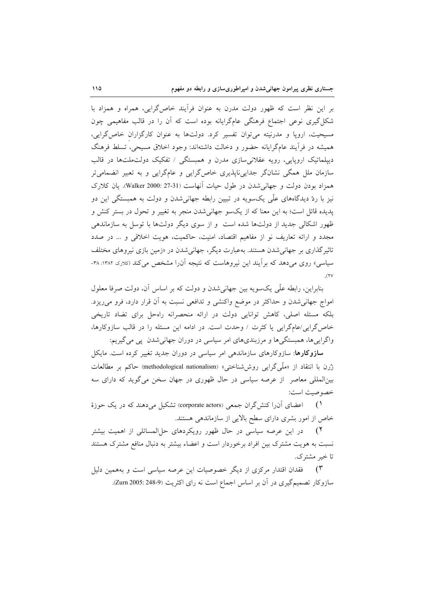بر این نظر است که ظهور دولت مدرن به عنوان فرآیند خاص گرایی، همراه و همزاد با شکل گیری نوعی اجتماع فرهنگی عامگرایانه بوده است که آن را در قالب مفاهیمی چون مسیحیت، اروپا و مدرنیته میتوان تفسیر کرد. دولتها به عنوان کارگزاران خاص گرایی، همیشه در فرأیند عامگرایانه حضور و دخالت داشتهاند: وجود اخلاق مسیحی، تسلط فرهنگ دیپلماتیک اروپایی، رویه عقلانی سازی مدرن و همبستگی / تفکیک دولتملتها در قالب سازمان ملل همگی نشانگر جدایی،اپذیری خاص\$رایی و عامگرایی و به تعبیر انضمامیتر همزاد بودن دولت و جهانی شدن در طول حیات آنهاست (Walker 2000: 27-31). یان کلارک نیز با ردّ دیدگاههای علّمی یکسویه در تبیین رابطه جهانیشدن و دولت به همبستگی این دو پدیده قائل است؛ به این معنا که از یکسو جهانیشدن منجر به تغییر و تحول در بستر کنش و ظهور اشکالی جدید از دولتها شده است و از سوی دیگر دولتها با توسل به سازماندهی مجدد و ارائه تعاریف نو از مفاهیم اقتصاد، امنیت، حاکمیت، هویت اخلاقی و … در صدد تاثیرگذاری بر جهانی شدن هستند. بهعبارت دیگر، جهانی شدن در «زمین بازی نیروهای مختلف سیاسی» روی میدهد که برآیند این نیروهاست که نتیجه آن(ا مشخص میکند (کلارک ۱۳۸۲: ۳۸- $\cdot$ (۲۷

بنابراین، رابطه علّی یکسویه بین جهانی شدن و دولت که بر اساس آن، دولت صرفا معلول امواج جهانی شدن و حداکثر در موضع واکنشی و تدافعی نسبت به آن قرار دارد، فرو می ریزد. بلکه مسئله اصلی، کاهش توانایی دولت در ارائه منحصرانه راهحل برای تضاد تاریخی خاص گرایی/عامگرایی یا کثرت / وحدت است. در ادامه این مسئله را در قالب سازوکارها، واگرايي ها، همبستگي ها و مرزبندي هاي امر سياسي در دوران جهاني شدن پي مي گيريم:

**سازوکارها**: سازوکارهای سازماندهی امر سیاسی در دوران جدید تغییر کرده است. مایکل زُرن با انتقاد از «ملَّى گرايبي روششناختبي» (methodological nationalism) حاكم بر مطالعات بینالمللی معاصر از عرصه سیاسی در حال ظهوری در جهان سخن می گوید که دارای سه خصوصيت است:

اعضای آن(ا کنشگران جمعی (corporate actors) تشکیل میدهند که در یک حوزهٔ  $\mathcal{L}$ خاص از امور بشری دارای سطح بالایی از سازماندهی هستند.

۲) در این عرصه سیاسی در حال ظهور رویکردهای حل|لمسائلی از اهمیت بیشتر نسبت به هویت مشترک بین افراد برخوردار است و اعضاء بیشتر به دنبال منافع مشترک هستند تا خبر مشترک.

فقدان اقتدار مرکزی از دیگر خصوصیات این عرصه سیاسی است و بههمین دلیل  $(\tau$ سازوكار تصميمگيري در آن بر اساس اجماع است نه راي اكثريت (3-248 :2005).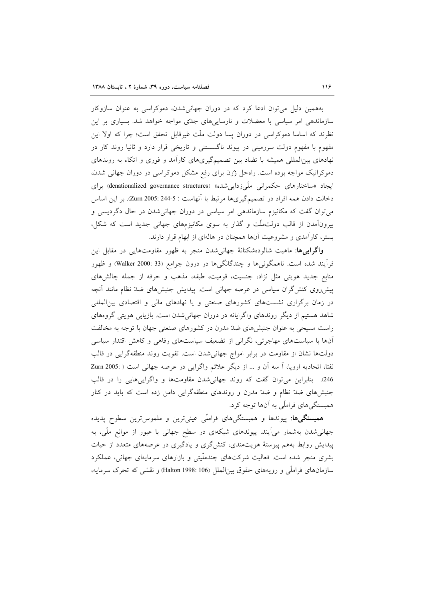بههمین دلیل میتوان ادعا کرد که در دوران جهانی شدن، دموکراسی به عنوان سازوکار سازماندهی امر سیاسی با معضلات و نارساییهای جدّی مواجه خواهد شد. بسیاری بر این نظرند که اساسا دموکراسی در دوران پسا دولت ملّت غیرقابل تحقق است؛ چرا که اولا این مفهوم با مفهوم دولت سرزمینی در پیوند ناگسستنی و تاریخی قرار دارد و ثانیا روند کار در نهادهای بین المللی همیشه با تضاد بین تصمیمگیریهای کارآمد و فوری و اتکاء به روندهای دموکراتیک مواجه بوده است. راهحل زُرن برای رفع مشکل دموکراسی در دوران جهانی شدن، ایجاد «ساختارهای حکمرانی ملّی;داییشده» (denationalized governance structures) برای دخالت دادن همه افراد در تصمیمگیریها مرتبط با آنهاست ( 244.5 :2005 Zurn). بر این اساس میتوان گفت که مکانیزم سازماندهی امر سیاسی در دوران جهانیشدن در حال دگردیسی و بیرونآمدن از قالب دولتملّت و گذار به سوی مکانیزمهای جهانی جدید است که شکل، بستر، کارآمدی و مشروعیت آنها همچنان در هالهای از ابهام قرار دارند.

**واگراییها**: ماهیت شالودهشکنانهٔ جهانیشدن منجر به ظهور مقاومتهایی در مقابل این فراًیند شده است. ناهمگونیها و چندگانگیها در درون جوامع (33 :Walker 2000) و ظهور منابع جدید هویتی مثل نژاد، جنسیت، قومیت، طبقه، مذهب و حرفه از جمله چالشهای پیشرروی کنش گران سیاسی در عرصه جهانی است. پیدایش جنبشهای ضدّ نظام مانند آنچه در زمان برگزاری نشستهای کشورهای صنعتی و یا نهادهای مالی و اقتصادی بین المللی شاهد هستیم از دیگر روندهای واگرایانه در دوران جهانی شدن است. بازیابی هویتی گروههای راست مسیحی به عنوان جنبشهای ضدّ مدرن در کشورهای صنعتی جهان با توجه به مخالفت آنها با سیاستهای مهاجرتی، نگرانی از تضعیف سیاستهای رفاهی و کاهش اقتدار سیاسی دولتها نشان از مقاومت در برابر امواج جهانی شدن است. تقویت روند منطقهگرایی در قالب نفتا، اتحادیه اروپا، آ سه آن و ... از دیگر علائم واگرایی در عرصه جهانی است ( :2005 Zurn 246. بنابراین می توان گفت که روند جهانی شدن مقاومتها و واگرایی هایی را در قالب جنبشهای ضدّ نظام و ضدّ مدرن و روندهای منطقهگرایی دامن زده است که باید در کنار همبستگیهای فراملّی به آنها توجه کرد.

همبستگیها: پیوندها و همبستگیهای فراملّی عینیترین و ملموسترین سطوح پدیده جهانی شدن بهشمار می آیند. پیوندهای شبکهای در سطح جهانی با عبور از موانع ملّی، به پیدایش روابط بههم پیوستهٔ هویتمندی، کنشگری و یادگیری در عرصههای متعدد از حیات بشری منجر شده است. فعالیت شرکتهای چندملّیتی و بازارهای سرمایهای جهانی، عملکرد سازمانهای فراملّی و رویههای حقوق بین|لملل Balton 1998: 106) و نقشی که تحرک سرمایه،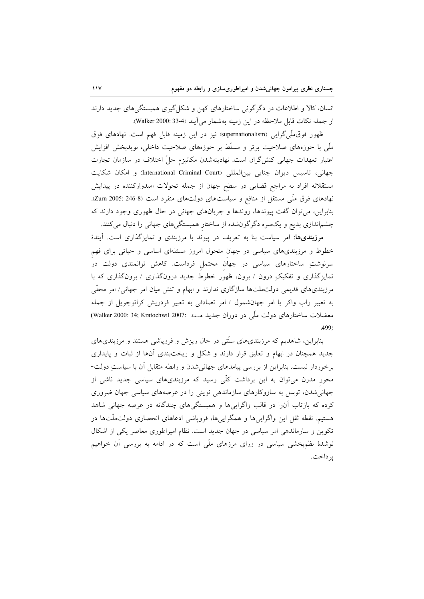انسان، کالا و اطلاعات در دگر گونی ساختارهای کهن و شکل گیری همبستگی های جدید دارند از جمله نكات قابل ملاحظه در اين زمينه بهشمار مي آيند (4-33 :Walker 2000).

ظهور فوق،لمّیگرایی (supernationalism) نیز در این زمینه قابل فهم است. نهادهای فوق ملَّی با حوزههای صلاحیت برتر و مسلَّط بر حوزههای صلاحیت داخلی، نویدبخش افزایش اعتبار تعهدات جهانی کنش گران است. نهادینهشدن مکانیزم حلّ اختلاف در سازمان تجارت جهاني، تاسيس ديوان جنايي بين المللي (International Criminal Court) و امكان شكايت مستقلانه افراد به مراجع قضایی در سطح جهان از جمله تحولات امیدوارکننده در پیدایش نهادهای فوق ملّی مستقل از منافع و سیاستهای دولتهای منفرد است (Zurn 2005: 246-8). بنابراین، میتوان گفت پیوندها، روندها و جریانهای جهانی در حال ظهوری وجود دارند که چشماندازی بدیع و یکسره دگرگونشده از ساختار همبستگیهای جهانی را دنبال میکنند.

مرزبندیها: امر سیاست بنا به تعریف در پیوند با مرزبندی و تمایزگذاری است. آیندهٔ خطوط و مرزبندیهای سیاسی در جهان متحول امروز مسئلهای اساسی و حیاتی برای فهم سرنوشتِ ساختارهای سیاسی در جهان محتمل فرداست. کاهش توانمندی دولت در تمایزگذاری و تفکیکِ درون / برون، ظهور خطوط جدید درونگذاری / برونگذاری که با مرزبندیهای قدیمی دولتملتها سازگاری ندارند و ابهام و تنش میان امر جهانی/ امر محلّی به تعبیر راب واکر یا امر جهانشمول / امر تصادفی به تعبیر فردریش کراتوچویل از جمله معضلات ساختارهای دولت ملّی در دوران جدید هستند :Walker 2000: 34; Kratochwil 2007) .499)

بنابراین، شاهدیم که مرزبندیهای سنّتی در حال ریزش و فروپاشی هستند و مرزبندیهای جدید همچنان در ابهام و تعلیق قرار دارند و شکل و ریختبندی آنها از ثبات و پایداری برخوردار نیست. بنابراین از بررسی پیامدهای جهانی شدن و رابطه متقابل آن با سیاستِ دولت-محور مدرن میتوان به این برداشت کلّی رسید که مرزبندیهای سیاسی جدید ناشی از جهانی شدن، توسل به سازوکارهای سازماندهی نوینی را در عرصههای سیاسی جهان ضروری کرده که بازتاب آن را در قالب واگراییها و همبستگیهای چندگانه در عرصه جهانی شاهد هستیم. نقطه ثقل این واگراییها و همگراییها، فروپاشی ادعاهای انحصاری دولتملّتها در تکوین و سازماندهی امر سیاسی در جهان جدید است. نظام امپراطوری معاصر یکی از اشکال نوشدهٔ نظمبخشی سیاسی در ورای مرزهای ملّی است که در ادامه به بررسی آن خواهیم بر داخت.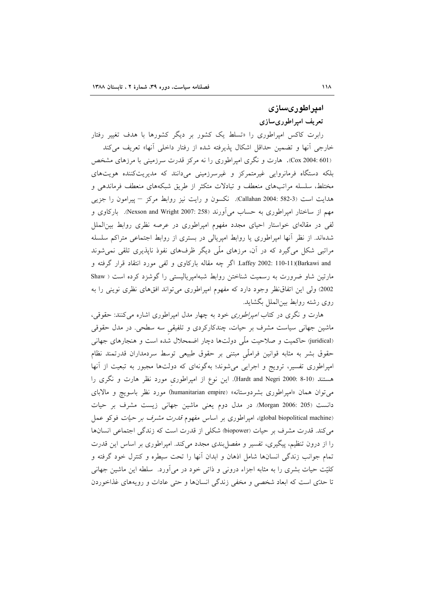# امیراطوریسازی

# تعريف امپراطوریسازی

رابرت کاکس امپراطوری را «تسلط یک کشور بر دیگر کشورها با هدف تغییر رفتار خارجی آنها و تضمین حداقل اشکال پذیرفته شده از رفتار داخلی آنها» تعریف میکند (Cox 2004: 601). هارت و نگری امپراطوری را نه مرکز قدرت سرزمینی با مرزهای مشخص بلکه دستگاه فرمانروایی غیرمتمرکز و غیرسرزمینی میدانند که مدیریتکننده هویتهای مختلط، سلسله مراتبهای منعطف و تبادلات متکثر از طریق شبکههای منعطف فرماندهی و هدایت است (582-582 :Callahan). نکسون و رایت نیز روابط مرکز – پیرامون را جزیی مهم از ساختار امپراطوری به حساب میآورند (Dexson and Wright 2007: 258). بارکاوی و لفی در مقالهای خواستار احیای مجدد مفهوم امیراطوری در عرصه نظری روابط بین|لملل شدهاند. از نظر أنها امپراطوری یا روابط امپریالی در بستری از روابط اجتماعی متراکم سلسله مراتبی شکل میگیرد که در آن، مرزهای ملَّی دیگر ظرفهای نفوذ ناپذیری تلقی نمیشوند Laffey 2002: 110-11)(Barkawi and اگر چه مقاله بارکاوی و لفی مورد انتقاد قرار گرفته و مارتین شاو ضرورت به رسمیت شناختن روابط شبهامپریالیستی را گوشزد کرده است ( Shaw 2002) ولی این اتفاق نظر وجود دارد که مفهوم امپراطوری میتواند افقهای نظری نوینی را به روي رشته روابط بين|لملل بگشايد.

هارت و نگری در کتاب *امپراطوری* خود به چهار مدل امپراطوری اشاره می کنند: حقوقی، ماشین جهانی سیاست مشرف بر حیات، چندکارکردی و تلفیقی سه سطحی. در مدل حقوقی (juridical) حاکمیت و صلاحیت ملّمی دولتها دچار اضمحلال شده است و هنجارهای جهانی حقوق بشر به مثابه قوانین فراملّی مبتنی بر حقوق طبیعی توسط سردمداران قدرتمند نظام امپراطوری تفسیر، ترویج و اجرایی میشوند؛ بهگونهای که دولتها مجبور به تبعیت از آنها هستند (Hardt and Negri 2000: 8-10). این نوع از امپراطوری مورد نظر هارت و نگری را می توان همان «امیراطوری بشردوستانه» (humanitarian empire) مورد نظر باسویچ و مالابای دانست (205: Morgan 2006: در مدل دوم يعني ماشين جهاني زيست مشرف بر حيات (global biopolitical machine)، امیراطوری بر اساس مفهوم ق*درت مشرف بر حیات* فوکو عمل می کند. قدرت مشرف بر حیات (biopower) شکلی از قدرت است که زندگی اجتماعی انسانها را از درون تنظیم، پیگیری، تفسیر و مفصل بندی مجدد میکند. امپراطوری بر اساس این قدرت تمام جوانب زندگی انسانها شامل اذهان و ابدان آنها را تحت سیطره و کنترل خود گرفته و کلیّت حیات بشری را به مثابه اجزاء درونبی و ذاتبی خود در میآورد. سلطه این ماشین جهانبی تا حدّی است که ابعاد شخصی و مخفی زندگی انسانها و حتی عادات و رویههای غذاخوردن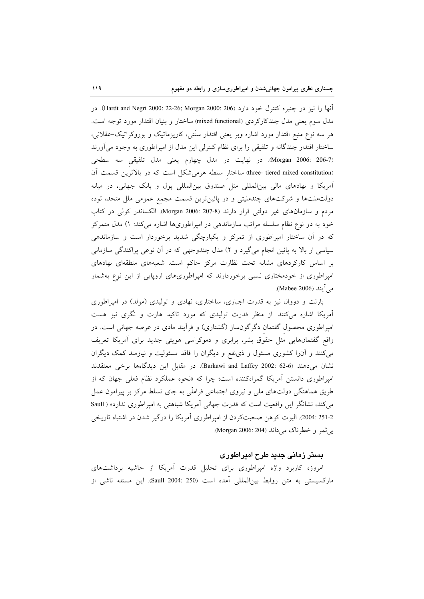آنها را نيز در چنبره كنترل خود دارد (206 :2000 Hardt and Negri). در مدل سوم يعني مدل چندکارکردي (mixed functional) ساختار و بنيان اقتدار مورد توجه است. هر سه نوع منبع اقتدار مورد اشاره وبر یعنی اقتدار سنّتی، کاریزماتیک و بوروکراتیک–عقلانی، ساختار اقتدار چندگانه و تلفیقی را برای نظام کنترلی این مدل از امپراطوری به وجود می آورند (Morgan 2006: 206-7). در نهایت در مدل چهارم یعنی مدل تلفیقی سه سطحی (three- tiered mixed constitution) ساختار سلطه هرمیشکل است که در بالاترین قسمت آن آمریکا و نهادهای مالی بین المللی مثل صندوق بین المللی پول و بانک جهانی، در میانه دولتملتها و شرکتهای چندملیتی و در پائینترین قسمت مجمع عمومی ملل متحد، توده مردم و سازمانهای غیر دولتی قرار دارند 30-207 :Morgan 2006). الکساندر کولی در کتاب خود به دو نوع نظام سلسله مراتب سازماندهی در امپراطوریها اشاره میکند: ۱) مدل متمرکز که در آن ساختار امیراطوری از تمرکز و یکپارچگی شدید برخوردار است و سازماندهی سیاسی از بالا به پائین انجام میگیرد و ۲) مدل چندوجهی که در آن نوعی پراکندگی سازمانی بر اساس کارکردهای مشابه تحت نظارت مرکز حاکم است. شعبههای منطقهای نهادهای امپراطوری از خودمختاری نسبی برخوردارند که امپراطوریهای اروپایی از این نوع بهشمار مي آيند (Mabee 2006).

بارنت و دووال نیز به قدرت اجباری، ساختاری، نهادی و تولیدی (مولد) در امپراطوری آمریکا اشاره میکنند. از منظر قدرت تولیدی که مورد تاکید هارت و نگری نیز هست امپراطوری محصول گفتمان دگرگونساز (گشتاری) و فرآیند مادی در عرصه جهانی است. در واقع گفتمانهایی مثل حقوق بشر، برابری و دموکراسی هویتی جدید برای آمریکا تعریف میکنند و آن(ا کشوری مسئول و ذیٰنفع و دیگران را فاقد مسئولیت و نیازمند کمک دیگران نشان می دهند (6-62 :2002 Barkawi and Laffey). در مقابل این دیدگاهها برخی معتقدند امپراطوری دانستن آمریکا گمراهکننده است؛ چرا که «نحوه عملکرد نظام فعلی جهان که از طریق هماهنگی دولتهای ملی و نیروی اجتماعی فراملّی به جای تسلط مرکز بر پیرامون عمل می کند، نشانگر این واقعیت است که قدرت جهانی آمریکا شباهتی به امیراطوری ندارد» ( Saull 251-2 :2004). اليوت كوهن صحبتكردن از اميراطوري آمريكا را درگير شدن در اشتباه تاريخي بي ثمر و خطرناک مي داند (Morgan 2006: 204).

## بستر زمانی جدید طرح امیراطوری

امروزه کاربرد واژه امپراطوری برای تحلیل قدرت آمریکا از حاشیه برداشتهای ماركسيستي به متن روابط بين المللي آمده است (250 :Saull 2004). اين مسئله ناشي از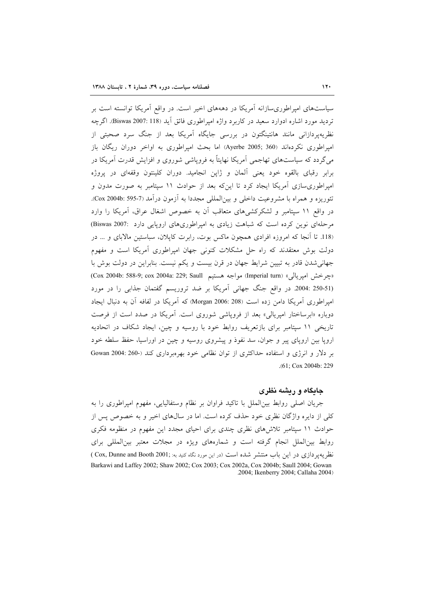سیاستهای امپراطوریسازانه آمریکا در دهههای اخیر است. در واقع آمریکا توانسته است بر ترديد مورد اشاره ادوارد سعيد در كاربرد وإژه اميراطوري فائق آيد (Biswas 2007: 118). اگرچه نظریهپردازانی مانند هانتینگتون در بررسی جایگاه آمریکا بعد از جنگ سرد صحبتی از امیراطوری نکردهاند (Ayerbe 2005; 360) اما بحث امیراطوری به اواخر دوران ریگان باز می گردد که سیاستهای تهاجمی آمریکا نهایتاً به فرویاشی شوروی و افزایش قدرت آمریکا در برابر رقبای بالقوه خود یعنی آلمان و ژاپن انجامید. دوران کلینتون وقفهای در پروژه امیراطوریسازی آمریکا ایجاد کرد تا اینکه بعد از حوادث ۱۱ سپتامبر به صورت مدون و تئوریزه و همراه با مشروعیت داخلی و بین(لمللی مجددا به آزمون درآمد (7-595 :Cox 2004b). در واقع ۱۱ سپتامبر و لشکرکشیهای متعاقب آن به خصوص اشغال عراق، آمریکا را وارد مرحلهای نوین کرده است که شباهت زیادی به امیراطوریهای اروپایی دارد :Biswas 2007 (118. تا آنجا که امروزه افرادی همچون ماکس بوت، رابرت کایلان، سباستین مالابای و … در دولت بوش معتقدند که راه حل مشکلات کنونی جهان امپراطوری آمریکا است و مفهوم جهانی شدن قادر به تبیین شرایط جهان در قرن بیست و یکم نیست. بنابراین در دولت بوش با (جرخش امپريالي» (Imperial turn) مواجه هستيم (Cox 2004b: 588-9; cox 2004a: 229; Saull) (250-51 :2004. در واقع جنگ جهانی آمریکا بر ضد تروریسم گفتمان جذابی را در مورد امیراطوری آمریکا دامن زده است (208: 2006 Morgan) که آمریکا در لفافه آن به دنبال ایجاد دوباره «ابرساختار امپریالی» بعد از فروپاشی شوروی است. آمریکا در صدد است از فرصت تاریخی ۱۱ سپتامبر برای بازتعریف روابط خود با روسیه و چین، ایجاد شکاف در اتحادیه اروپا بین اروپای پیر و جوان، سد نفوذ و پیشروی روسیه و چین در اوراسیا، حفظ سلطه خود بر دلار و انرژی و استفاده حداکثری از توان نظامی خود بهرهبرداری کند (-360 :004 Gowan .(61; Cox 2004b: 229

#### جایگاه و ریشه نظری

جريان اصلي روابط بين|لملل با تاكيد فراوان بر نظام وستفاليايي، مفهوم اميراطوري را به کلی از دایره واژگان نظری خود حذف کرده است. اما در سالهای اخیر و به خصوص پس از حوادث ۱۱ سپتامبر تلاشهای نظری چندی برای احیای مجدد این مفهوم در منظومه فکری روابط بینالملل انجام گرفته است و شمارههای ویژه در مجلات معتبر بینالمللی برای نظریهپردازی در این باب منتشر شده است (در این مورد نگاه کنید به: :Cox, Dunne and Booth 2001 ) Barkawi and Laffey 2002; Shaw 2002; Cox 2003; Cox 2002a, Cox 2004b; Saull 2004; Gowan .2004; Ikenberry 2004; Callaha 2004)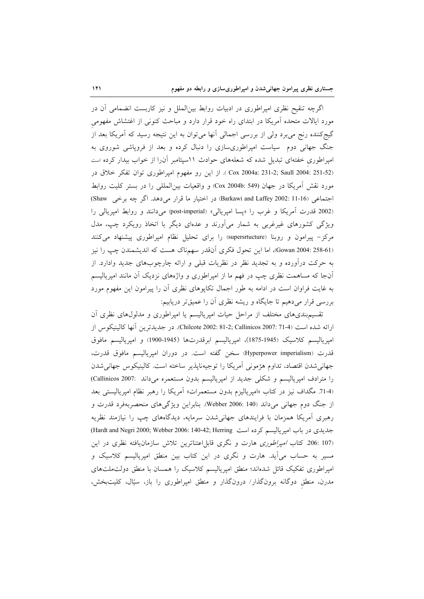اگرچه تنقیح نظری امپراطوری در ادبیات روابط بینالملل و نیز کاربست انضمامی أن در مورد ایالات متحده آمریکا در ابتدای راه خود قرار دارد و مباحث کنونی از اغتشاش مفهومی گیجکننده رنج میبرد ولی از بررسی اجمالی انها میتوان به این نتیجه رسید که اَمریکا بعد از جنگ جهانی دوم سیاست امپراطوریسازی را دنبال کرده و بعد از فروپاشی شوروی به امپراطوری خفتهای تبدیل شده که شعلههای حوادث ۱۱سپتامبر آن(ا از خواب بیدار کرده است Cox 2004a: 231-2; Saull 2004: 251-52). از این رو مفهوم امپراطوری توان تفکر خلاق در مورد نقش آمريكا در جهان (Cox 2004b: 549) و واقعيات بين المللي را در بستر كليت روابط اجتماعی (Barkawi and Laffey 2002: 11-16) در اختیار ما قرار میدهد. اگر چه برخی Shaw) (2002 قدرت أمريكا و غرب را «پسا امپريالي» (post-imperial) مي دانند و روابط امپريالي را ویژگی کشورهای غیرغربی به شمار میآورند و عدهای دیگر با اتخاذ رویکرد چپ، مدل مرکز – پیرامون و روبنا (supersrtucture) را برای تحلیل نظام امیراطوری پیشنهاد می کنند (Gowan 2004: 258-61)، اما این تحول فکری آنقدر سهمناک هست که اندیشمندن چپ را نیز به حرکت درآورده و به تجدید نظر در نظریات قبلی و ارائه چارچوبهای جدید وادارد. از آنجا که مساهمت نظری چپ در فهم ما از امپراطوری و واژههای نزدیک آن مانند امپریالیسم به غایت فراوان است در ادامه به طور اجمال تکاپوهای نظری آن را پیرامون این مفهوم مورد بررسی قرار میدهیم تا جایگاه و ریشه نظری آن را عمیقتر دریابیم:

تقسیم.بندیهای مختلف از مراحل حیات امپریالیسم یا امپراطوری و مدلولهای نظری أن ارائه شده است (Chilcote 2002: 81-2; Callinicos 2007: 71-4). در جديدترين أنها كالينيكوس از امپرياليسم كلاسيك (1945-1875)، امپرياليسم ابرقدرتها (1945-1900) و امپرياليسم مافوق قدرت (Hyperpower imperialism) سخن گفته است. در دوران امپریالیسم مافوق قدرت، جهاني شدن اقتصاد، تداوم هژموني آمريكا را توجيهناپذير ساخته است. كالينيكوس جهاني شدن را مترادف امپریالیسم و شکلی جدید از امپریالیسم بدون مستعمره می داند :Callinicos 2007) (71-4. مگداف نیز در کتاب «امپریالیزم بدون مستعمرات» أمریکا را رهبر نظام امپریالیستی بعد از جنگ دوم جهانی میداند (Webber 2006: 140). بنابراین ویژگیهای منحصربهفرد قدرت و رهبری آمریکا همزمان با فرایندهای جهانی شدن سرمایه، دیدگاههای چپ را نیازمند نظریه جدیدی در باب امیریالیسم کرده است Hardt and Negri 2000; Webber 2006: 140-42; Herring) (107 :206 كتاب *امپراطورى* هارت و نگرى قابل|عتناترين تلاش سازمانيافته نظرى در اين مسیر به حساب میآید. هارت و نگری در این کتاب بین منطق امپریالیسم کلاسیک و امپراطوری تفکیک قائل شدهاند؛ منطق امپریالیسم کلاسیک را همسان با منطق دولتملتهای مدرن، منطق دوگانه برونگذار/ درونگذار و منطق امپراطوری را باز، سیّال، کلیتبخش،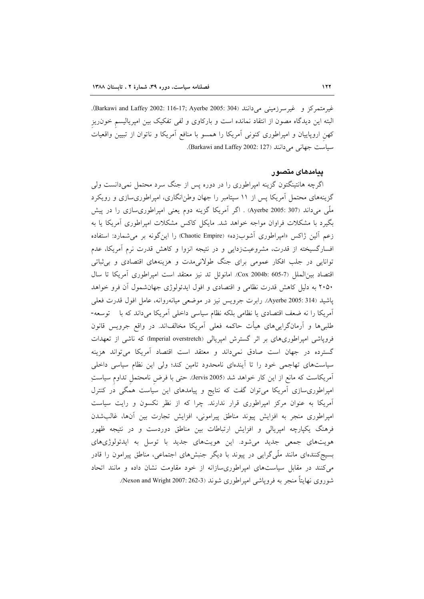غيرمتمركز و غيرسرزميني ميدانند (Barkawi and Laffey 2002: 116-17; Ayerbe 2005: 304). البته این دیدگاه مصون از انتقاد نمانده است و بارکاوی و لفی تفکیک بین امپریالیسم خون ریز کهن اروپاییان و امپراطوری کنونی اَمریکا را همسو با منافع اَمریکا و ناتوان از تبیین واقعیات سياست جهاني مي دانند (Barkawi and Laffey 2002: 127).

#### یںامدھای متصور

اگرچه هانتینگتون گزینه امپراطوری را در دوره پس از جنگ سرد محتمل نمیدانست ولی گزینههای محتمل آمریکا پس از ۱۱ سپتامبر را جهان وطن|نگاری، امیراطوریسازی و رویکرد ملَّی می۱ند (307 :Ayerbe 2005) . اگر اَمریکا گزینه دوم یعنی امپراطوریسازی را در پیش بگیرد با مشکلات فراوان مواجه خواهد شد. مایکل کاکس مشکلات امپراطوری آمریکا یا به زعم آلین ژاکس «امیراطوری آشوبزده» (Chaotic Empire) را این گونه بر می شمارد: استفاده افسارگسیخته از قدرت، مشروعیتزدایی و در نتیجه انزوا و کاهش قدرت نرم آمریکا، عدم توانایی در جلب افکار عمومی برای جنگ طولانی مدت و هزینههای اقتصادی و بی ثباتی اقتصاد بين الملل (7-605 :Cox 2004b). امانوئل تد نيز معتقد است امپراطوري آمريكا تا سال ۲۰۵۰ به دلیل کاهش قدرت نظامی و اقتصادی و افول ایدئولوژی جهانشمول آن فرو خواهد پاشید (Ayerbe 2005: 314). رابرت جرویس نیز در موضعی میانهروانه، عامل افول قدرت فعلی آمریکا را نه ضعف اقتصادی یا نظامی بلکه نظام سیاسی داخلی آمریکا میداند که با توسعه-طلبی۵ا و آرمانگرایی۵ای هیأت حاکمه فعلی آمریکا مخالفاند. در واقع جرویس قانون فروپاشی امپراطوریهای بر اثر گسترش امپریالی (Imperial overstretch) که ناشی از تعهدات گسترده در جهان است صادق نمیداند و معتقد است اقتصاد آمریکا می تواند هزینه سیاستهای تهاجمی خود را تا آیندهای نامحدود تامین کند؛ ولی این نظام سیاسی داخلی آمریکاست که مانع از این کار خواهد شد (Jervis 2005). حتی با فرض نامحتمل تداوم سیاستِ امپراطوریسازی آمریکا میتوان گفت که نتایج و پیامدهای این سیاست همگی در کنترل آمریکا به عنوان مرکز امپراطوری قرار ندارند. چرا که از نظر نکسون و رایت سیاست امپراطوری منجر به افزایش پیوند مناطق پیرامونی، افزایش تجارت بین آنها، غالبشدن فرهنگ یکپارچه امپریالی و افزایش ارتباطات بین مناطق دوردست و در نتیجه ظهور هویتهای جمعی جدید می شود. این هویتهای جدید با توسل به ایدئولوژیهای بسیج کنندهای مانند ملّی گرایی در پیوند با دیگر جنبشهای اجتماعی، مناطق پیرامون را قادر می کنند در مقابل سیاستهای امپراطوریسازانه از خود مقاومت نشان داده و مانند اتحاد شوروي نهايتاً منجر به فروياشي اميراطوري شوند (Nexon and Wright 2007: 262-3).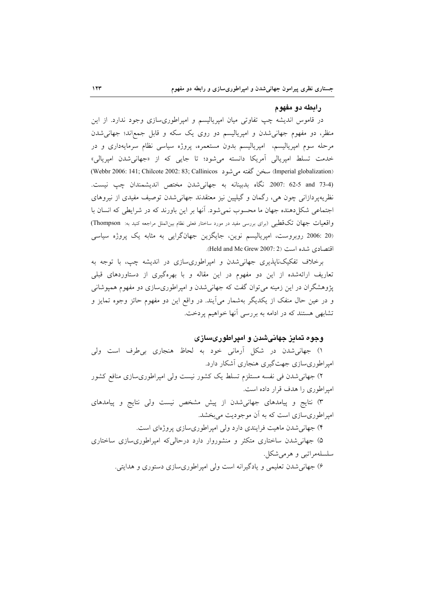#### ر ابطه دو مفهوم

در قاموس اندیشه چپ تفاوتی میان امپریالیسم و امپراطوریسازی وجود ندارد. از این منظر، دو مفهوم جهانیشدن و امپریالیسم دو روی یک سکه و قابل جمع|ند؛ جهانیشدن مرحله سوم امپریالیسم، امپریالیسم بدون مستعمره، پروژه سیاسی نظام سرمایهداری و در خدمت تسلط امپریالی اَمریکا دانسته میشود؛ تا جایی که از «جهانیشدن امپریالی» (Imperial globalization) سنحن گفته می شود (Webbr 2006: 141; Chilcote 2002: 83; Callinicos) (3-4 2007: 62-5 and 23-4 نگاه بدبينانه به جهاني شدن مختص انديشمندان چپ نيست. نظریهپردازانی چون هی، رگمان و گیلپین نیز معتقدند جهانی شدن توصیف مفیدی از نیروهای اجتماعی شکل دهنده جهان ما محسوب نمی شود. آنها بر این باورند که در شرایطی که انسان با واقعیات جهان تک قطبی (برای بررسی مفید در مورد ساختار فعلی نظام بین الملل مراجعه کنید به: Thompson) (20 :2006 روبروست، امپریالیسم نوین، جایگزین جهانگرایی به مثابه یک پروژه سیاسی اقتصادي شده است (Held and Mc Grew 2007: 2).

برخلاف تفکیکنایذیری جهانی شدن و امیراطوری سازی در اندیشه چپ، با توجه به تعاریف ارائهشده از این دو مفهوم در این مقاله و با بهرهگیری از دستاوردهای قبلی پژوهشگران در این زمینه می توان گفت که جهانی شدن و امپراطوریسازی دو مفهوم همپوشانی و در عین حال منفک از یکدیگر بهشمار می]یند. در واقع این دو مفهوم حائز وجوه تمایز و تشابهی هستند که در ادامه به بررسی آنها خواهیم پردخت.

## وجوه تمایز جهانیشدن و امپراطوریسازی

۱) جهانی شدن در شکل آرمانی خود به لحاظ هنجاری بی طرف است ولی امیر اطوری سازی جهت گیری هنجاری آشکار دارد.

۲) جهانه شدن فی نفسه مستلزم تسلط یک کشور نیست ولی امپراطوریسازی منافع کشور امپراطوری را هدف قرار داده است.

۳) نتایج و پیامدهای جهانی شدن از پیش مشخص نیست ولی نتایج و پیامدهای امپراطوریسازی است که به اَن موجودیت میبخشد.

۴) جهانی شدن ماهیت فرایندی دارد ولی امیراطوریسازی پروژهای است.

۵) جهانی شدن ساختاری متکثر و منشوروار دارد درحالی که امیراطوریسازی ساختاری سلسلهمراتبي و هرمي شکل.

۶) جهاني شدن تعليمي و يادگيرانه است ولي اميراطوري سازي دستوري و هدايتي.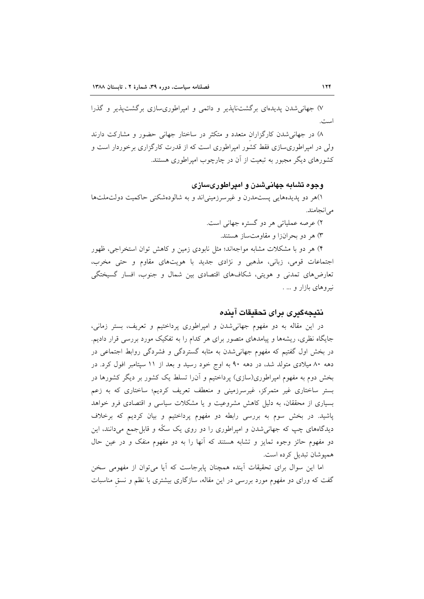۷) جهانی شدن پدیدهای برگشتiاپذیر و دائمی و امپراطوریسازی برگشتپذیر و گذرا است.

۸) در جهانم شدن کارگزاران متعدد و متکثر در ساختار جهانی حضور و مشارکت دارند ولی در امیراطوریسازی فقط کشور امیراطوری است که از قدرت کارگزاری برخوردار است و کشورهای دیگر مجبور به تبعیت از آن در چارچوب امیراطوری هستند.

و چوه تشاپه چهانیشین و امیراطوریسازی

۱)هر دو پدیدههایی پستمدرن و غیرسرزمینیاند و به شالودهشکنی حاکمیت دولتملتها مے انجامند.

۲) عرصه عملیاتی هر دو گستره جهانی است.

۳) هر دو بحرانزا و مقاومتساز هستند.

۴) هر دو با مشکلات مشابه مواجهاند؛ مثل نابودی زمین و کاهش توان استخراجی، ظهور اجتماعات قومي، زباني، مذهبي و نژادي جديد با هويتهاي مقاوم و حتى مخرب، تعارضهای تمدنی و هویتی، شکافهای اقتصادی بین شمال و جنوب، افسار گسیختگی نیروهای بازار و … .

# نتىجەگىرى براي تحقىقات آىندە

در این مقاله به دو مفهوم جهانیشدن و امپراطوری پرداختیم و تعریف، بستر زمانی، جایگاه نظری، ریشهها و پیامدهای متصور برای هر کدام را به تفکیک مورد بررسی قرار دادیم. در بخش اول گفتیم که مفهوم جهانی شدن به مثابه گستردگی و فشردگی روابط اجتماعی در دهه ۸۰ میلادی متولد شد، در دهه ۹۰ به اوج خود رسید و بعد از ۱۱ سپتامبر افول کرد. در بخش دوم به مفهوم امیراطوری(سازی) یرداختیم و آن(ا تسلط یک کشور بر دیگر کشورها در بستر ساختاری غیر متمرکز، غیرسرزمینی و منعطف تعریف کردیم؛ ساختاری که به زعم بسیاری از محققان، به دلیل کاهش مشروعیت و یا مشکلات سیاسی و اقتصادی فرو خواهد پاشید. در بخش سوم به بررسی رابطه دو مفهوم پرداختیم و بیان کردیم که برخلاف دیدگاههای چپ که جهانیشدن و امپراطوری را دو روی یک سکّه و قابل جمع میدانند، این دو مفهوم حائز وجوه تمایز و تشابه هستند که آنها را به دو مفهوم منفک و در عین حال هميوشان تبديل كرده است.

اما این سوال برای تحقیقات آینده همچنان پابرجاست که آیا میتوان از مفهومی سخن گفت که ورای دو مفهوم مورد بررسی در این مقاله، سازگاری بیشتری با نظم و نسق مناسبات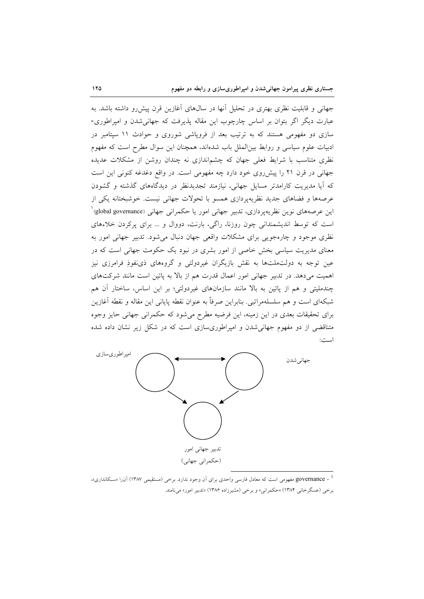جهانی و قابلیت نظری بهتری در تحلیل آنها در سال@ای آغازین قرن پیشررو داشته باشد. به عبارت دیگر اگر بتوان بر اساس چارچوب این مقاله پذیرفت که جهانی شدن و امپراطوری-سازی دو مفهومی هستند که به ترتیب بعد از فروپاشی شوروی و حوادث ١١ سپتامبر در ادبیات علوم سیاسی و روابط بین الملل باب شدهاند، همچنان این سوال مطرح است که مفهوم نظری متناسب با شرایط فعلی جهان که چشماندازی نه چندان روشن از مشکلات عدیده جهانی در قرن ۲۱ را پیش روی خود دارد چه مفهومی است. در واقع دغدغه کنونی این است که آیا مدیریت کارامدتر مسایل جهانی، نیازمند تجدیدنظر در دیدگاههای گذشته و گشودن عرصهها و فضاهای جدید نظریه پردازی همسو با تحولات جهانی نیست. خوشبختانه یکی از این عرصههای نوین نظریهپردازی، تدبیر جهانی امور یا حکمرانی جهانی (global governance)<sup>'</sup> است که توسط اندیشمندانی چون روزنا، راگی، بارنت، دووال و ... برای پرکردن خلاءهای نظری موجود و چارهجویی برای مشکلات واقعی جهان دنبال می شود. تدبیر جهانی امور به معنای مدیریت سیاسی بخش خاصی از امور بشری در نبود یک حکومت جهانی است که در عین توجه به دولتملتها به نقش بازیگران غیردولتی و گروههای ذی نفوذِ فرامرزی نیز اهمیت میدهد. در تدبیر جهانی امور اعمال قدرت هم از بالا به پائین است مانند شرکتهای چندملیتی و هم از پائین به بالا مانند سازمانهای غیردولتی؛ بر این اساس، ساختار آن هم شبکهای است و هم سلسلهمراتبی. بنابراین صرفاً به عنوان نقطه پایانی این مقاله و نقطه آغازین برای تحقیقات بعدی در این زمینه، این فرضیه مطرح میشود که حکمرانی جهانی حایز وجوه متناقضی از دو مفهوم جهانیشدن و امپراطوریسازی است که در شکل زیر نشان داده شده امیدین



<sup>1</sup> ـ governance مفهومی است که معادل فارسی واحدی برای آن وجود ندارد. برخی (مستقیمی ۱۳۸۷) آن(ا «سکانداری»، برخي (عسگرخاني ١٣٨۴) «حكمراني» و برخي (مشيرزاده ١٣٨۶) «تدبير امور» ميiامند.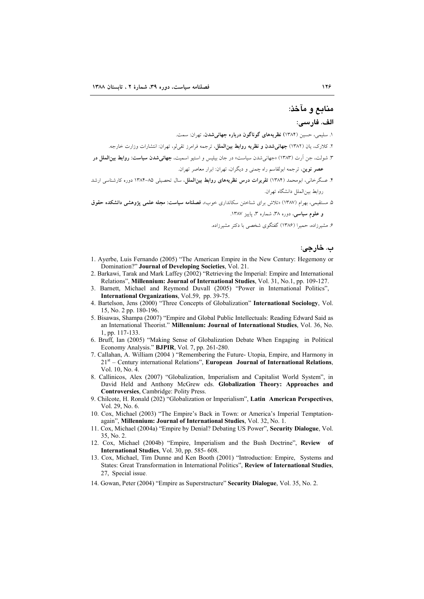#### منابع و مآخذ:

#### الف. فارسى:

۱. سلیمی، حسین (۱۳۸۴) **نظریههای گوناگون درباره جهانیشدن**، تهران: سمت.

۲. کلارک، بان (۱۳۸۲) **حهانی شدن و نظریه روابط بین الملل**، ترجمه فرامرز تقریلو، تهران: انتشارات وزارت خارجه.

۳. شولت، جن اَرت (۱۳۸۳) «جهانی شدن سیاست» در جان بیلیس و استیو اسمیت، **جهانی شدن سیاست: روابط بین الملل در** عصر نوین، ترجمه ابولقاسم راه چمنی و دیگران، تهران: ابرار معاصر تهران.

۴. عسگرخانی، ابومحمد (۱۳۸۴) **تقریرات درس نظریههای روابط بینالملل**، سال تحصیلی ۸۵-۱۳۸۴ دوره کارشناسی ارشد روابط بين|لملل دانشگاه تهران.

۵. مستقیمی، بهرام (۱۳۸۷) «تلاش برای شناختن سکانداری خوب»، فصلنامه <mark>سیاست: مجله علمی پژوهشی دانشکده حقوق</mark> و علوم سیاسی، دوره ۳۸، شماره ۳، پاییز ۱۳۸۷.

۶. مشیرزاده، حمیرا (۱۳۸۶) گفتگوی شخصی با دکتر مشیرزاده.

ب. خارجي:

- 1. Ayerbe, Luis Fernando (2005) "The American Empire in the New Century: Hegemony or Domination?" Journal of Developing Societies, Vol. 21.
- 2. Barkawi, Tarak and Mark Laffey (2002) "Retrieving the Imperial: Empire and International Relations", Millennium: Journal of International Studies, Vol. 31, No.1, pp. 109-127.
- 3. Barnett, Michael and Reymond Duvall (2005) "Power in International Politics", International Organizations, Vol.59, pp. 39-75.
- 4. Bartelson, Jens (2000) "Three Concepts of Globalization" International Sociology, Vol. 15, No. 2 pp. 180-196.
- 5. Bisawas, Shampa (2007) "Empire and Global Public Intellectuals: Reading Edward Said as an International Theorist." Millennium: Journal of International Studies, Vol. 36, No. 1, pp. 117-133.
- 6. Bruff, Ian (2005) "Making Sense of Globalization Debate When Engaging in Political Economy Analysis." **BJPIR**, Vol. 7, pp. 261-280.
- 7. Callahan, A. William (2004) "Remembering the Future- Utopia, Empire, and Harmony in  $21<sup>st</sup>$  – Century international Relations", European Journal of International Relations, Vol. 10, No. 4.
- 8. Callinicos, Alex (2007) "Globalization, Imperialism and Capitalist World System", in David Held and Anthony McGrew eds. Globalization Theory: Approaches and Controversies, Cambridge: Polity Press.
- 9. Chilcote, H. Ronald (202) "Globalization or Imperialism", Latin American Perspectives, Vol. 29, No. 6.
- 10. Cox, Michael (2003) "The Empire's Back in Town: or America's Imperial Temptationagain", Millennium: Journal of International Studies, Vol. 32, No. 1.
- 11. Cox, Michael (2004a) "Empire by Denial? Debating US Power", Security Dialogue, Vol.  $35$  No 2
- 12. Cox, Michael (2004b) "Empire, Imperialism and the Bush Doctrine", Review of International Studies, Vol. 30, pp. 585-608.
- 13. Cox, Michael, Tim Dunne and Ken Booth (2001) "Introduction: Empire. Systems and States: Great Transformation in International Politics", Review of International Studies. 27. Special issue.
- 14. Gowan, Peter (2004) "Empire as Superstructure" Security Dialogue, Vol. 35, No. 2.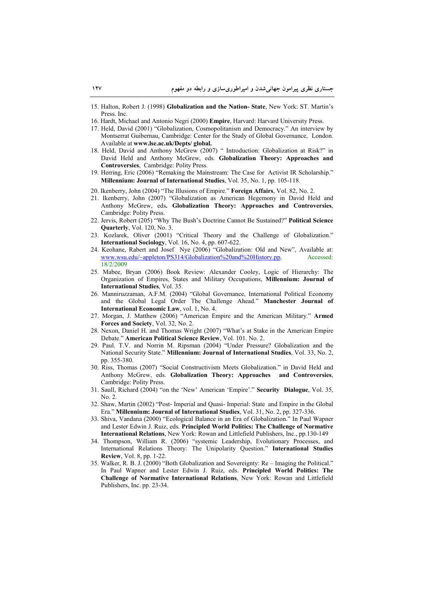- 15. Halton, Robert J. (1998) **Globalization and the Nation- State**, New York: ST. Martin's Press. Inc.
- 16. Hardt, Michael and Antonio Negri (2000) **Empire**, Harvard: Harvard University Press.
- 17. Held, David (2001) "Globalization, Cosmopolitanism and Democracy." An interview by Montserrat Guibernau, Cambridge: Center for the Study of Global Governance, London. Available at **www.lse.ac.uk/Depts/ global.**
- 18. Held, David and Anthony McGrew (2007) " Introduction: Globalization at Risk?" in David Held and Anthony McGrew, eds. **Globalization Theory: Approaches and Controversies**, Cambridge: Polity Press.
- 19. Herring, Eric (2006) "Remaking the Mainstream: The Case for Activist IR Scholarship." **Millennium: Journal of International Studies**, Vol. 35, No. 1, pp. 105-118.
- 20. Ikenberry, John (2004) "The Illusions of Empire." **Foreign Affairs**, Vol. 82, No. 2.
- 21. Ikenberry, John (2007) "Globalization as American Hegemony in David Held and Anthony McGrew, eds**. Globalization Theory: Approaches and Controversies**, Cambridge: Polity Press.
- 22. Jervis, Robert (205) "Why The Bush's Doctrine Cannot Be Sustained?" **Political Science Quarterly**, Vol. 120, No. 3.
- 23. Kozlarek, Oliver (2001) "Critical Theory and the Challenge of Globalization." **International Sociology**, Vol. 16, No. 4, pp. 607-622.
- 24. Keohane, Rabert and Josef Nye (2006) "Globalization: Old and New", Available at: www.wsu.edu/~appleton/PS314/Globalization%20and%20History.pp, Accessed: 18/2/2009
- 25. Mabee, Bryan (2006) Book Review: Alexander Cooley, Logic of Hierarchy: The Organization of Empires, States and Military Occupations, **Millennium: Journal of International Studies**, Vol. 35.
- 26. Manniruzzaman, A.F.M. (2004) "Global Governance, International Political Economy and the Global Legal Order The Challenge Ahead." **Manchester Journal of International Economic Law**, vol. 1, No. 4.
- 27. Morgan, J. Matthew (2006) "American Empire and the American Military." **Armed Forces and Society**, Vol. 32, No. 2.
- 28. Nexon, Daniel H. and Thomas Wright (2007) "What's at Stake in the American Empire Debate." **American Political Science Review**, Vol. 101. No. 2.
- 29. Paul. T.V. and Norrin M. Ripsman (2004) "Under Pressure? Globalization and the National Security State." **Millennium: Journal of International Studies**, Vol. 33, No. 2, pp. 355-380.
- 30. Riss, Thomas (2007) "Social Constructivism Meets Globalization." in David Held and Anthony McGrew, eds. **Globalization Theory: Approaches and Controversies**, Cambridge: Polity Press.
- 31. Saull, Richard (2004) "on the 'New' American 'Empire'." **Security Dialogue**, Vol. 35, No. 2.
- 32. Shaw, Martin (2002) "Post- Imperial and Quasi- Imperial: State and Empire in the Global Era." **Millennium: Journal of International Studies**, Vol. 31, No. 2, pp. 327-336.
- 33. Shiva, Vandana (2000) "Ecological Balance in an Era of Globalization." In Paul Wapner and Lester Edwin J. Ruiz, eds. **Principled World Politics: The Challenge of Normative International Relations**, New York: Rowan and Littlefield Publishers, Inc., pp.130-149
- 34. Thompson, William R. (2006) "systemic Leadership, Evolutionary Processes, and International Relations Theory: The Unipolarity Question." **International Studies Review**, Vol. 8, pp. 1-22.
- 35. Walker, R. B. J. (2000) "Both Globalization and Sovereignty: Re Imaging the Political." In Paul Wapner and Lester Edwin J. Ruiz, eds. **Principled World Politics: The Challenge of Normative International Relations**, New York: Rowan and Littlefield Publishers, Inc. pp. 23-34.